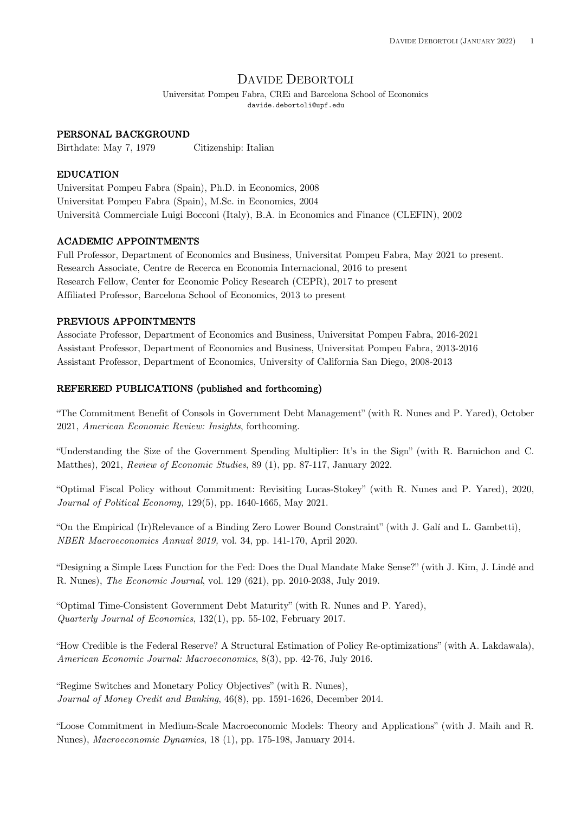# DAVIDE DEBORTOLI

Universitat Pompeu Fabra, CREi and Barcelona School of Economics davide.debortoli@upf.edu

#### PERSONAL BACKGROUND

Birthdate: May 7, 1979 Citizenship: Italian

### EDUCATION

Universitat Pompeu Fabra (Spain), Ph.D. in Economics, 2008 Universitat Pompeu Fabra (Spain), M.Sc. in Economics, 2004 Università Commerciale Luigi Bocconi (Italy), B.A. in Economics and Finance (CLEFIN), 2002

#### ACADEMIC APPOINTMENTS

Full Professor, Department of Economics and Business, Universitat Pompeu Fabra, May 2021 to present. Research Associate, Centre de Recerca en Economia Internacional, 2016 to present Research Fellow, Center for Economic Policy Research (CEPR), 2017 to present Affiliated Professor, Barcelona School of Economics, 2013 to present

#### PREVIOUS APPOINTMENTS

Associate Professor, Department of Economics and Business, Universitat Pompeu Fabra, 2016-2021 Assistant Professor, Department of Economics and Business, Universitat Pompeu Fabra, 2013-2016 Assistant Professor, Department of Economics, University of California San Diego, 2008-2013

#### REFEREED PUBLICATIONS (published and forthcoming)

"The Commitment Benefit of Consols in Government Debt Management" (with R. Nunes and P. Yared), October 2021, *American Economic Review: Insights*, forthcoming.

"Understanding the Size of the Government Spending Multiplier: It's in the Sign" (with R. Barnichon and C. Matthes), 2021, *Review of Economic Studies*, 89 (1), pp. 87-117, January 2022.

"Optimal Fiscal Policy without Commitment: Revisiting Lucas-Stokey" (with R. Nunes and P. Yared), 2020, *Journal of Political Economy,* 129(5), pp. 1640-1665, May 2021.

"On the Empirical (Ir)Relevance of a Binding Zero Lower Bound Constraint" (with J. Galí and L. Gambetti), *NBER Macroeconomics Annual 2019,* vol. 34, pp. 141-170, April 2020.

"Designing a Simple Loss Function for the Fed: Does the Dual Mandate Make Sense?" (with J. Kim, J. Lindé and R. Nunes), *The Economic Journal*, vol. 129 (621), pp. 2010-2038, July 2019.

"Optimal Time-Consistent Government Debt Maturity" (with R. Nunes and P. Yared), *Quarterly Journal of Economics*, 132(1), pp. 55-102, February 2017.

"How Credible is the Federal Reserve? A Structural Estimation of Policy Re-optimizations" (with A. Lakdawala), *American Economic Journal: Macroeconomics*, 8(3), pp. 42-76, July 2016.

"Regime Switches and Monetary Policy Objectives" (with R. Nunes), *Journal of Money Credit and Banking*, 46(8), pp. 1591-1626, December 2014.

"Loose Commitment in Medium-Scale Macroeconomic Models: Theory and Applications" (with J. Maih and R. Nunes), *Macroeconomic Dynamics*, 18 (1), pp. 175-198, January 2014.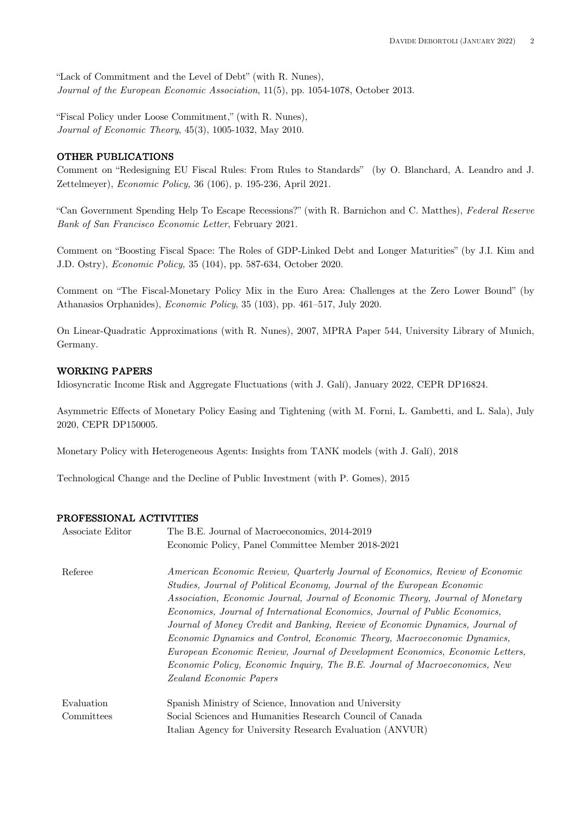"Lack of Commitment and the Level of Debt" (with R. Nunes), *Journal of the European Economic Association*, 11(5), pp. 1054-1078, October 2013.

"Fiscal Policy under Loose Commitment," (with R. Nunes), *Journal of Economic Theory*, 45(3), 1005-1032, May 2010.

# OTHER PUBLICATIONS

Comment on "Redesigning EU Fiscal Rules: From Rules to Standards" (by O. Blanchard, A. Leandro and J. Zettelmeyer), *Economic Policy,* 36 (106), p. 195-236, April 2021.

"Can Government Spending Help To Escape Recessions?" (with R. Barnichon and C. Matthes), *Federal Reserve Bank of San Francisco Economic Letter*, February 2021.

Comment on "Boosting Fiscal Space: The Roles of GDP-Linked Debt and Longer Maturities" (by J.I. Kim and J.D. Ostry), *Economic Policy,* 35 (104), pp. 587-634, October 2020.

Comment on "The Fiscal-Monetary Policy Mix in the Euro Area: Challenges at the Zero Lower Bound" (by Athanasios Orphanides), *Economic Policy*, 35 (103), pp. 461–517, July 2020.

On Linear-Quadratic Approximations (with R. Nunes), 2007, MPRA Paper 544, University Library of Munich, Germany.

# WORKING PAPERS

Idiosyncratic Income Risk and Aggregate Fluctuations (with J. Galí), January 2022, CEPR DP16824.

Asymmetric Effects of Monetary Policy Easing and Tightening (with M. Forni, L. Gambetti, and L. Sala), July 2020, CEPR DP150005.

Monetary Policy with Heterogeneous Agents: Insights from TANK models (with J. Galí), 2018

Technological Change and the Decline of Public Investment (with P. Gomes), 2015

# PROFESSIONAL ACTIVITIES

| Associate Editor | The B.E. Journal of Macroeconomics, 2014-2019                                                                                                           |
|------------------|---------------------------------------------------------------------------------------------------------------------------------------------------------|
|                  | Economic Policy, Panel Committee Member 2018-2021                                                                                                       |
| Referee          | American Economic Review, Quarterly Journal of Economics, Review of Economic<br>Studies, Journal of Political Economy, Journal of the European Economic |
|                  | Association, Economic Journal, Journal of Economic Theory, Journal of Monetary                                                                          |
|                  | Economics, Journal of International Economics, Journal of Public Economics,                                                                             |
|                  | Journal of Money Credit and Banking, Review of Economic Dynamics, Journal of                                                                            |
|                  | Economic Dynamics and Control, Economic Theory, Macroeconomic Dynamics,                                                                                 |
|                  | European Economic Review, Journal of Development Economics, Economic Letters,                                                                           |
|                  | Economic Policy, Economic Inquiry, The B.E. Journal of Macroeconomics, New                                                                              |
|                  | Zealand Economic Papers                                                                                                                                 |
| Evaluation       | Spanish Ministry of Science, Innovation and University                                                                                                  |
| Committees       | Social Sciences and Humanities Research Council of Canada                                                                                               |
|                  | Italian Agency for University Research Evaluation (ANVUR)                                                                                               |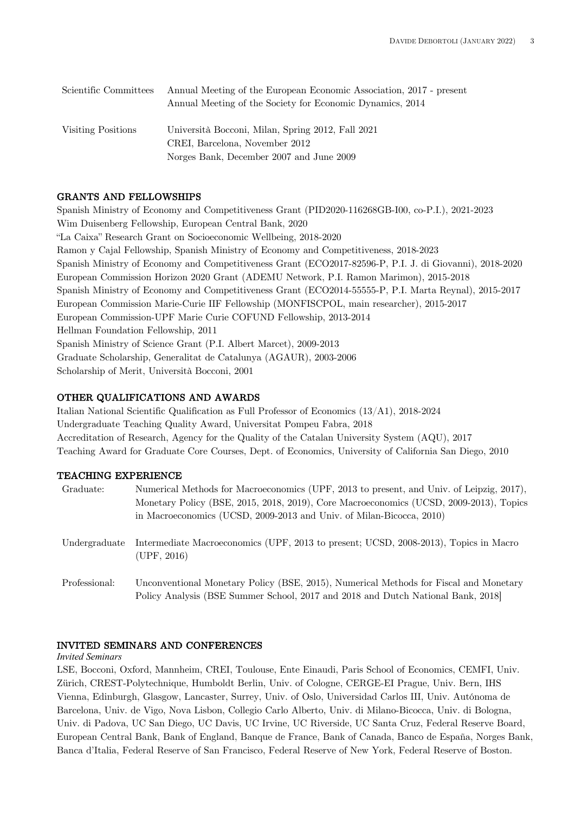| Scientific Committees | Annual Meeting of the European Economic Association, 2017 - present |
|-----------------------|---------------------------------------------------------------------|
|                       | Annual Meeting of the Society for Economic Dynamics, 2014           |
|                       |                                                                     |
| Visiting Positions    | Università Bocconi, Milan, Spring 2012, Fall 2021                   |
|                       | CREI, Barcelona, November 2012                                      |
|                       | Norges Bank, December 2007 and June 2009                            |

# GRANTS AND FELLOWSHIPS

Spanish Ministry of Economy and Competitiveness Grant (PID2020-116268GB-I00, co-P.I.), 2021-2023 Wim Duisenberg Fellowship, European Central Bank, 2020 "La Caixa" Research Grant on Socioeconomic Wellbeing, 2018-2020 Ramon y Cajal Fellowship, Spanish Ministry of Economy and Competitiveness, 2018-2023 Spanish Ministry of Economy and Competitiveness Grant (ECO2017-82596-P, P.I. J. di Giovanni), 2018-2020 European Commission Horizon 2020 Grant (ADEMU Network, P.I. Ramon Marimon), 2015-2018 Spanish Ministry of Economy and Competitiveness Grant (ECO2014-55555-P, P.I. Marta Reynal), 2015-2017 European Commission Marie-Curie IIF Fellowship (MONFISCPOL, main researcher), 2015-2017 European Commission-UPF Marie Curie COFUND Fellowship, 2013-2014 Hellman Foundation Fellowship, 2011 Spanish Ministry of Science Grant (P.I. Albert Marcet), 2009-2013 Graduate Scholarship, Generalitat de Catalunya (AGAUR), 2003-2006 Scholarship of Merit, Università Bocconi, 2001

# OTHER QUALIFICATIONS AND AWARDS

Italian National Scientific Qualification as Full Professor of Economics (13/A1), 2018-2024 Undergraduate Teaching Quality Award, Universitat Pompeu Fabra, 2018 Accreditation of Research, Agency for the Quality of the Catalan University System (AQU), 2017 Teaching Award for Graduate Core Courses, Dept. of Economics, University of California San Diego, 2010

# TEACHING EXPERIENCE

| Graduate:     | Numerical Methods for Macroeconomics (UPF, 2013 to present, and Univ. of Leipzig, 2017),<br>Monetary Policy (BSE, 2015, 2018, 2019), Core Macroeconomics (UCSD, 2009-2013), Topics<br>in Macroeconomics (UCSD, 2009-2013 and Univ. of Milan-Bicocca, 2010) |
|---------------|------------------------------------------------------------------------------------------------------------------------------------------------------------------------------------------------------------------------------------------------------------|
| Undergraduate | Intermediate Macroeconomics (UPF, 2013 to present; UCSD, 2008-2013), Topics in Macro<br>(UPF, 2016)                                                                                                                                                        |
| Professional: | Unconventional Monetary Policy (BSE, 2015), Numerical Methods for Fiscal and Monetary<br>Policy Analysis (BSE Summer School, 2017 and 2018 and Dutch National Bank, 2018)                                                                                  |

# INVITED SEMINARS AND CONFERENCES

#### *Invited Seminars*

LSE, Bocconi, Oxford, Mannheim, CREI, Toulouse, Ente Einaudi, Paris School of Economics, CEMFI, Univ. Zürich, CREST-Polytechnique, Humboldt Berlin, Univ. of Cologne, CERGE-EI Prague, Univ. Bern, IHS Vienna, Edinburgh, Glasgow, Lancaster, Surrey, Univ. of Oslo, Universidad Carlos III, Univ. Autónoma de Barcelona, Univ. de Vigo, Nova Lisbon, Collegio Carlo Alberto, Univ. di Milano-Bicocca, Univ. di Bologna, Univ. di Padova, UC San Diego, UC Davis, UC Irvine, UC Riverside, UC Santa Cruz, Federal Reserve Board, European Central Bank, Bank of England, Banque de France, Bank of Canada, Banco de España, Norges Bank, Banca d'Italia, Federal Reserve of San Francisco, Federal Reserve of New York, Federal Reserve of Boston.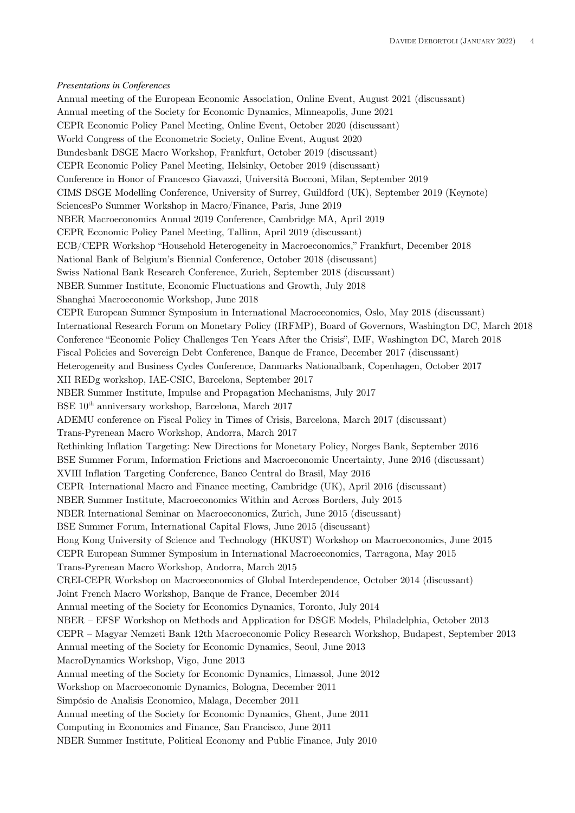#### *Presentations in Conferences*

Annual meeting of the European Economic Association, Online Event, August 2021 (discussant) Annual meeting of the Society for Economic Dynamics, Minneapolis, June 2021 CEPR Economic Policy Panel Meeting, Online Event, October 2020 (discussant) World Congress of the Econometric Society, Online Event, August 2020 Bundesbank DSGE Macro Workshop, Frankfurt, October 2019 (discussant) CEPR Economic Policy Panel Meeting, Helsinky, October 2019 (discussant) Conference in Honor of Francesco Giavazzi, Università Bocconi, Milan, September 2019 CIMS DSGE Modelling Conference, University of Surrey, Guildford (UK), September 2019 (Keynote) SciencesPo Summer Workshop in Macro/Finance, Paris, June 2019 NBER Macroeconomics Annual 2019 Conference, Cambridge MA, April 2019 CEPR Economic Policy Panel Meeting, Tallinn, April 2019 (discussant) ECB/CEPR Workshop "Household Heterogeneity in Macroeconomics," Frankfurt, December 2018 National Bank of Belgium's Biennial Conference, October 2018 (discussant) Swiss National Bank Research Conference, Zurich, September 2018 (discussant) NBER Summer Institute, Economic Fluctuations and Growth, July 2018 Shanghai Macroeconomic Workshop, June 2018 CEPR European Summer Symposium in International Macroeconomics, Oslo, May 2018 (discussant) International Research Forum on Monetary Policy (IRFMP), Board of Governors, Washington DC, March 2018 Conference "Economic Policy Challenges Ten Years After the Crisis", IMF, Washington DC, March 2018 Fiscal Policies and Sovereign Debt Conference, Banque de France, December 2017 (discussant) Heterogeneity and Business Cycles Conference, Danmarks Nationalbank, Copenhagen, October 2017 XII REDg workshop, IAE-CSIC, Barcelona, September 2017 NBER Summer Institute, Impulse and Propagation Mechanisms, July 2017 BSE 10th anniversary workshop, Barcelona, March 2017 ADEMU conference on Fiscal Policy in Times of Crisis, Barcelona, March 2017 (discussant) Trans-Pyrenean Macro Workshop, Andorra, March 2017 Rethinking Inflation Targeting: New Directions for Monetary Policy, Norges Bank, September 2016 BSE Summer Forum, Information Frictions and Macroeconomic Uncertainty, June 2016 (discussant) XVIII Inflation Targeting Conference, Banco Central do Brasil, May 2016 CEPR–International Macro and Finance meeting, Cambridge (UK), April 2016 (discussant) NBER Summer Institute, Macroeconomics Within and Across Borders, July 2015 NBER International Seminar on Macroeconomics, Zurich, June 2015 (discussant) BSE Summer Forum, International Capital Flows, June 2015 (discussant) Hong Kong University of Science and Technology (HKUST) Workshop on Macroeconomics, June 2015 CEPR European Summer Symposium in International Macroeconomics, Tarragona, May 2015 Trans-Pyrenean Macro Workshop, Andorra, March 2015 CREI-CEPR Workshop on Macroeconomics of Global Interdependence, October 2014 (discussant) Joint French Macro Workshop, Banque de France, December 2014 Annual meeting of the Society for Economics Dynamics, Toronto, July 2014 NBER – EFSF Workshop on Methods and Application for DSGE Models, Philadelphia, October 2013 CEPR – Magyar Nemzeti Bank 12th Macroeconomic Policy Research Workshop, Budapest, September 2013 Annual meeting of the Society for Economic Dynamics, Seoul, June 2013 MacroDynamics Workshop, Vigo, June 2013 Annual meeting of the Society for Economic Dynamics, Limassol, June 2012 Workshop on Macroeconomic Dynamics, Bologna, December 2011 Simpósio de Analisis Economico, Malaga, December 2011 Annual meeting of the Society for Economic Dynamics, Ghent, June 2011 Computing in Economics and Finance, San Francisco, June 2011 NBER Summer Institute, Political Economy and Public Finance, July 2010